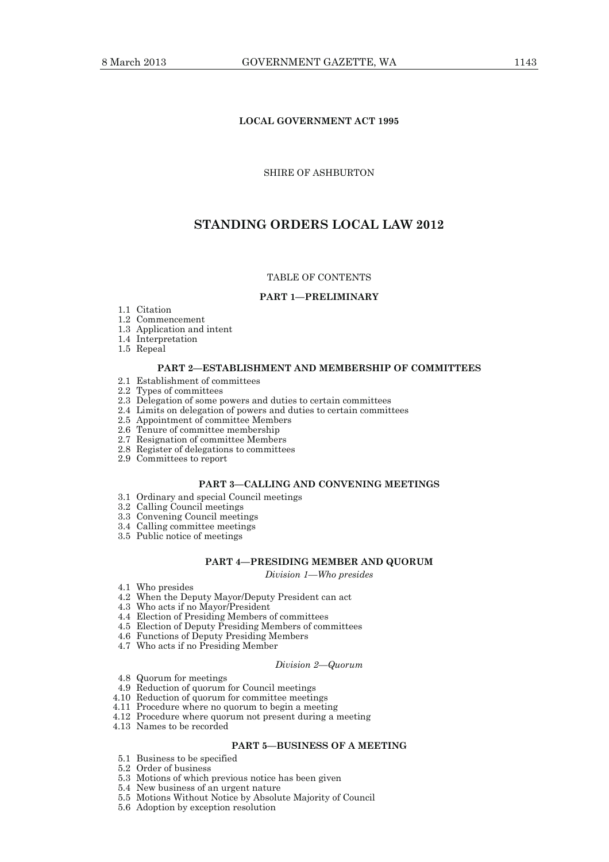# **LOCAL GOVERNMENT ACT 1995**

## SHIRE OF ASHBURTON

# **STANDING ORDERS LOCAL LAW 2012**

## TABLE OF CONTENTS

## **PART 1—PRELIMINARY**

- 1.1 Citation
- 1.2 Commencement
- 1.3 Application and intent
- 1.4 Interpretation
- 1.5 Repeal

## **PART 2—ESTABLISHMENT AND MEMBERSHIP OF COMMITTEES**

- 2.1 Establishment of committees
- 2.2 Types of committees
- 2.3 Delegation of some powers and duties to certain committees
- 2.4 Limits on delegation of powers and duties to certain committees
- 2.5 Appointment of committee Members
- 2.6 Tenure of committee membership
	- 2.7 Resignation of committee Members
	- 2.8 Register of delegations to committees
	- 2.9 Committees to report

# **PART 3—CALLING AND CONVENING MEETINGS**

- 3.1 Ordinary and special Council meetings
- 3.2 Calling Council meetings
- 3.3 Convening Council meetings
- 3.4 Calling committee meetings
- 3.5 Public notice of meetings

#### **PART 4—PRESIDING MEMBER AND QUORUM**

*Division 1—Who presides* 

- 4.1 Who presides
- 4.2 When the Deputy Mayor/Deputy President can act
- 4.3 Who acts if no Mayor/President
- 4.4 Election of Presiding Members of committees
- 4.5 Election of Deputy Presiding Members of committees
- 4.6 Functions of Deputy Presiding Members
- 4.7 Who acts if no Presiding Member

#### *Division 2—Quorum*

- 4.8 Quorum for meetings
- 4.9 Reduction of quorum for Council meetings
- 4.10 Reduction of quorum for committee meetings
- 4.11 Procedure where no quorum to begin a meeting
- 4.12 Procedure where quorum not present during a meeting
- 4.13 Names to be recorded

# **PART 5—BUSINESS OF A MEETING**

- 5.1 Business to be specified
- 5.2 Order of business
- 5.3 Motions of which previous notice has been given
- 5.4 New business of an urgent nature
- 5.5 Motions Without Notice by Absolute Majority of Council
- 5.6 Adoption by exception resolution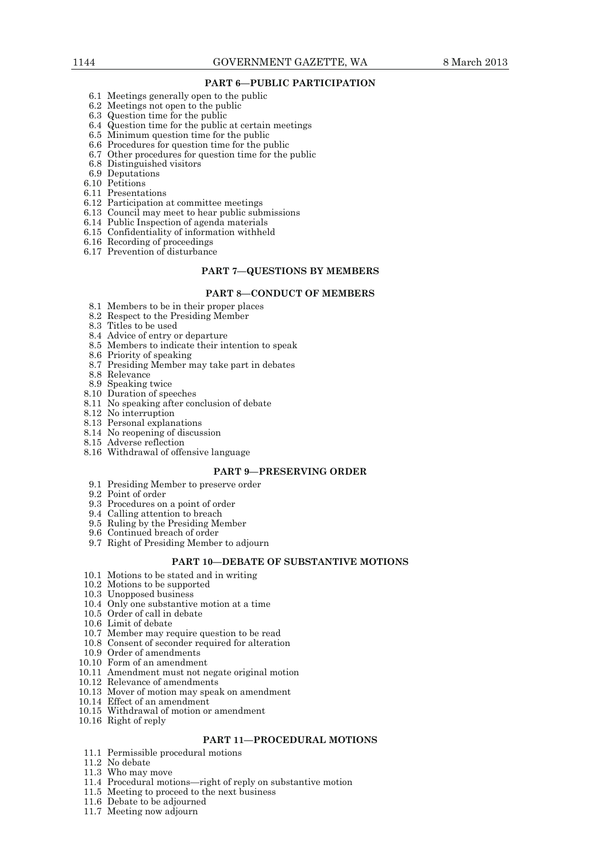# **PART 6—PUBLIC PARTICIPATION**

- 6.1 Meetings generally open to the public
- 6.2 Meetings not open to the public
- 6.3 Question time for the public
- 6.4 Question time for the public at certain meetings
- 6.5 Minimum question time for the public
- 6.6 Procedures for question time for the public
- 6.7 Other procedures for question time for the public
	- 6.8 Distinguished visitors
	- 6.9 Deputations
	- 6.10 Petitions
	- 6.11 Presentations
	- 6.12 Participation at committee meetings 6.13 Council may meet to hear public submissions
	-
	- 6.14 Public Inspection of agenda materials 6.15 Confidentiality of information withheld
	- 6.16 Recording of proceedings
	-
	- 6.17 Prevention of disturbance

#### **PART 7—QUESTIONS BY MEMBERS**

#### **PART 8—CONDUCT OF MEMBERS**

- 8.1 Members to be in their proper places
- 8.2 Respect to the Presiding Member
- 8.3 Titles to be used
- 8.4 Advice of entry or departure
- 8.5 Members to indicate their intention to speak
- 8.6 Priority of speaking
- 8.7 Presiding Member may take part in debates
- 8.8 Relevance
- 8.9 Speaking twice
- 8.10 Duration of speeches
- 8.11 No speaking after conclusion of debate
- 8.12 No interruption
- 8.13 Personal explanations
- 8.14 No reopening of discussion
- 8.15 Adverse reflection
- 8.16 Withdrawal of offensive language

# **PART 9—PRESERVING ORDER**

- 9.1 Presiding Member to preserve order
- 9.2 Point of order
- 9.3 Procedures on a point of order
- 9.4 Calling attention to breach
- 9.5 Ruling by the Presiding Member
- 9.6 Continued breach of order
- 9.7 Right of Presiding Member to adjourn

#### **PART 10—DEBATE OF SUBSTANTIVE MOTIONS**

- 10.1 Motions to be stated and in writing
- 10.2 Motions to be supported
- 10.3 Unopposed business
- 10.4 Only one substantive motion at a time
- 10.5 Order of call in debate
	- 10.6 Limit of debate
	- 10.7 Member may require question to be read
	- 10.8 Consent of seconder required for alteration
	- 10.9 Order of amendments
- 10.10 Form of an amendment
- 10.11 Amendment must not negate original motion
- 10.12 Relevance of amendments
- 10.13 Mover of motion may speak on amendment
- 10.14 Effect of an amendment
- 10.15 Withdrawal of motion or amendment
- 10.16 Right of reply

# **PART 11—PROCEDURAL MOTIONS**

- 11.1 Permissible procedural motions
- 11.2 No debate
- 11.3 Who may move
- 11.4 Procedural motions—right of reply on substantive motion
- 11.5 Meeting to proceed to the next business
- 11.6 Debate to be adjourned
- 11.7 Meeting now adjourn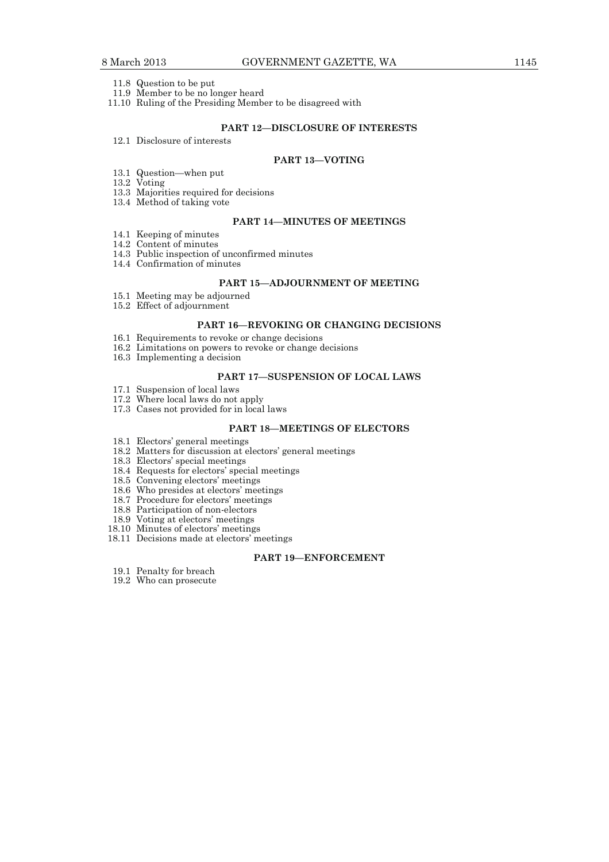- 11.8 Question to be put
- 11.9 Member to be no longer heard
- 11.10 Ruling of the Presiding Member to be disagreed with

# **PART 12—DISCLOSURE OF INTERESTS**

12.1 Disclosure of interests

# **PART 13—VOTING**

- 13.1 Question—when put
- 13.2 Voting
	- 13.3 Majorities required for decisions
	- 13.4 Method of taking vote

# **PART 14—MINUTES OF MEETINGS**

- 14.1 Keeping of minutes
- 14.2 Content of minutes
- 14.3 Public inspection of unconfirmed minutes
- 14.4 Confirmation of minutes

# **PART 15—ADJOURNMENT OF MEETING**

- 15.1 Meeting may be adjourned
- 15.2 Effect of adjournment

# **PART 16—REVOKING OR CHANGING DECISIONS**

- 16.1 Requirements to revoke or change decisions
- 16.2 Limitations on powers to revoke or change decisions
- 16.3 Implementing a decision

#### **PART 17—SUSPENSION OF LOCAL LAWS**

- 17.1 Suspension of local laws
- 17.2 Where local laws do not apply
- 17.3 Cases not provided for in local laws

### **PART 18—MEETINGS OF ELECTORS**

- 18.1 Electors' general meetings
- 18.2 Matters for discussion at electors' general meetings
- 18.3 Electors' special meetings
- 18.4 Requests for electors' special meetings
- 18.5 Convening electors' meetings
- 18.6 Who presides at electors' meetings
- 18.7 Procedure for electors' meetings
	- 18.8 Participation of non-electors
	- 18.9 Voting at electors' meetings
- 18.10 Minutes of electors' meetings
- 18.11 Decisions made at electors' meetings

## **PART 19—ENFORCEMENT**

- 19.1 Penalty for breach
- 19.2 Who can prosecute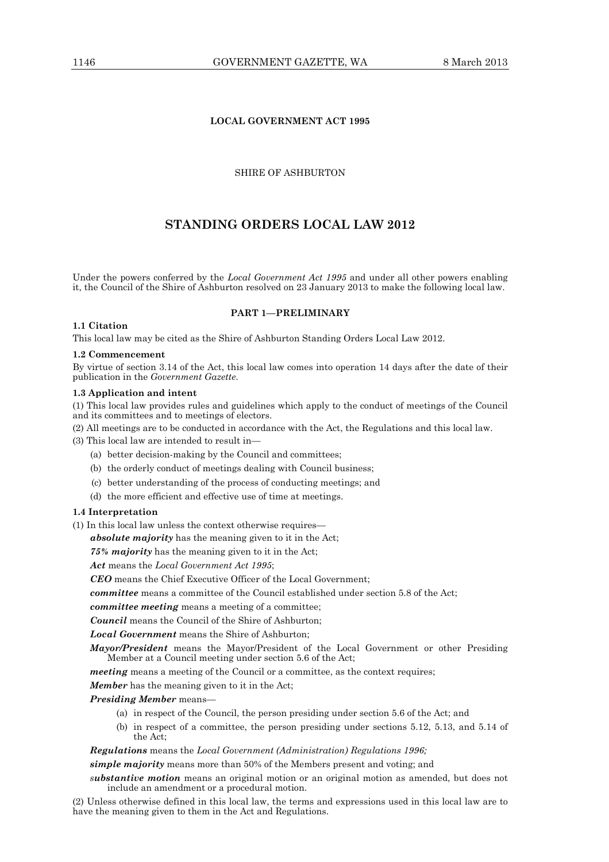# **LOCAL GOVERNMENT ACT 1995**

SHIRE OF ASHBURTON

# **STANDING ORDERS LOCAL LAW 2012**

Under the powers conferred by the *Local Government Act 1995* and under all other powers enabling it, the Council of the Shire of Ashburton resolved on 23 January 2013 to make the following local law.

## **PART 1—PRELIMINARY**

## **1.1 Citation**

This local law may be cited as the Shire of Ashburton Standing Orders Local Law 2012.

## **1.2 Commencement**

By virtue of section 3.14 of the Act, this local law comes into operation 14 days after the date of their publication in the *Government Gazette*.

## **1.3 Application and intent**

(1) This local law provides rules and guidelines which apply to the conduct of meetings of the Council and its committees and to meetings of electors.

(2) All meetings are to be conducted in accordance with the Act, the Regulations and this local law.

(3) This local law are intended to result in—

- (a) better decision-making by the Council and committees;
- (b) the orderly conduct of meetings dealing with Council business;
- (c) better understanding of the process of conducting meetings; and
- (d) the more efficient and effective use of time at meetings.

## **1.4 Interpretation**

(1) In this local law unless the context otherwise requires—

*absolute majority* has the meaning given to it in the Act;

*75% majority* has the meaning given to it in the Act;

*Act* means the *Local Government Act 1995*;

*CEO* means the Chief Executive Officer of the Local Government;

*committee* means a committee of the Council established under section 5.8 of the Act;

*committee meeting* means a meeting of a committee;

*Council* means the Council of the Shire of Ashburton;

*Local Government* means the Shire of Ashburton;

*Mayor/President* means the Mayor/President of the Local Government or other Presiding Member at a Council meeting under section 5.6 of the Act;

*meeting* means a meeting of the Council or a committee, as the context requires;

*Member* has the meaning given to it in the Act;

*Presiding Member* means—

- (a) in respect of the Council, the person presiding under section 5.6 of the Act; and
- (b) in respect of a committee, the person presiding under sections 5.12, 5.13, and 5.14 of the Act;

*Regulations* means the *Local Government (Administration) Regulations 1996;* 

*simple majority* means more than 50% of the Members present and voting; and

*substantive motion* means an original motion or an original motion as amended, but does not include an amendment or a procedural motion.

(2) Unless otherwise defined in this local law, the terms and expressions used in this local law are to have the meaning given to them in the Act and Regulations.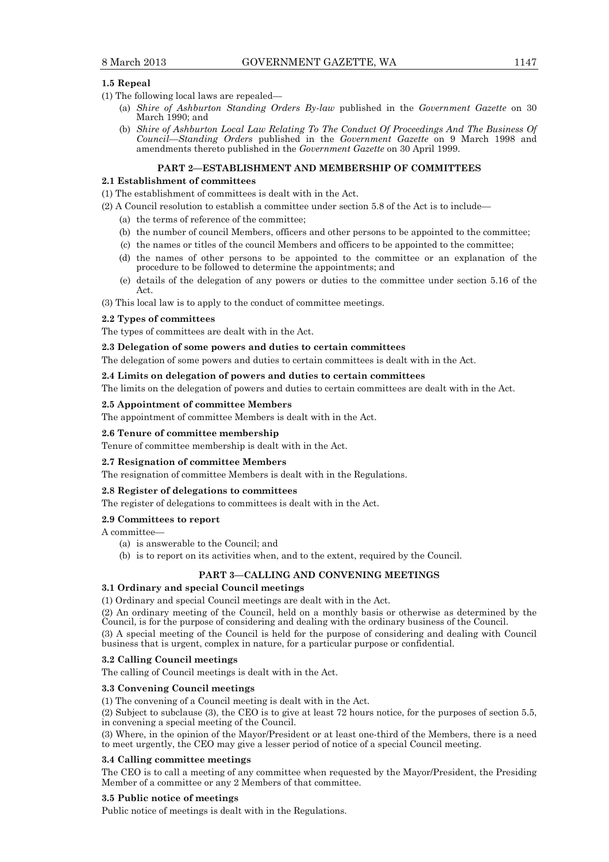## **1.5 Repeal**

- (1) The following local laws are repealed—
	- (a) *Shire of Ashburton Standing Orders By-law* published in the *Government Gazette* on 30 March 1990; and
	- (b) *Shire of Ashburton Local Law Relating To The Conduct Of Proceedings And The Business Of Council—Standing Orders* published in the *Government Gazette* on 9 March 1998 and amendments thereto published in the *Government Gazette* on 30 April 1999.

### **PART 2—ESTABLISHMENT AND MEMBERSHIP OF COMMITTEES**

# **2.1 Establishment of committees**

- (1) The establishment of committees is dealt with in the Act.
- (2) A Council resolution to establish a committee under section 5.8 of the Act is to include—
	- (a) the terms of reference of the committee;
	- (b) the number of council Members, officers and other persons to be appointed to the committee;
	- (c) the names or titles of the council Members and officers to be appointed to the committee;
	- (d) the names of other persons to be appointed to the committee or an explanation of the procedure to be followed to determine the appointments; and
	- (e) details of the delegation of any powers or duties to the committee under section 5.16 of the Act.

(3) This local law is to apply to the conduct of committee meetings.

## **2.2 Types of committees**

The types of committees are dealt with in the Act.

#### **2.3 Delegation of some powers and duties to certain committees**

The delegation of some powers and duties to certain committees is dealt with in the Act.

## **2.4 Limits on delegation of powers and duties to certain committees**

The limits on the delegation of powers and duties to certain committees are dealt with in the Act.

#### **2.5 Appointment of committee Members**

The appointment of committee Members is dealt with in the Act.

### **2.6 Tenure of committee membership**

Tenure of committee membership is dealt with in the Act.

#### **2.7 Resignation of committee Members**

The resignation of committee Members is dealt with in the Regulations.

#### **2.8 Register of delegations to committees**

The register of delegations to committees is dealt with in the Act.

#### **2.9 Committees to report**

A committee—

- (a) is answerable to the Council; and
- (b) is to report on its activities when, and to the extent, required by the Council.

#### **PART 3—CALLING AND CONVENING MEETINGS**

## **3.1 Ordinary and special Council meetings**

(1) Ordinary and special Council meetings are dealt with in the Act.

(2) An ordinary meeting of the Council, held on a monthly basis or otherwise as determined by the Council, is for the purpose of considering and dealing with the ordinary business of the Council.

(3) A special meeting of the Council is held for the purpose of considering and dealing with Council business that is urgent, complex in nature, for a particular purpose or confidential.

### **3.2 Calling Council meetings**

The calling of Council meetings is dealt with in the Act.

### **3.3 Convening Council meetings**

(1) The convening of a Council meeting is dealt with in the Act.

(2) Subject to subclause (3), the CEO is to give at least 72 hours notice, for the purposes of section 5.5, in convening a special meeting of the Council.

(3) Where, in the opinion of the Mayor/President or at least one-third of the Members, there is a need to meet urgently, the CEO may give a lesser period of notice of a special Council meeting.

#### **3.4 Calling committee meetings**

The CEO is to call a meeting of any committee when requested by the Mayor/President, the Presiding Member of a committee or any 2 Members of that committee.

#### **3.5 Public notice of meetings**

Public notice of meetings is dealt with in the Regulations.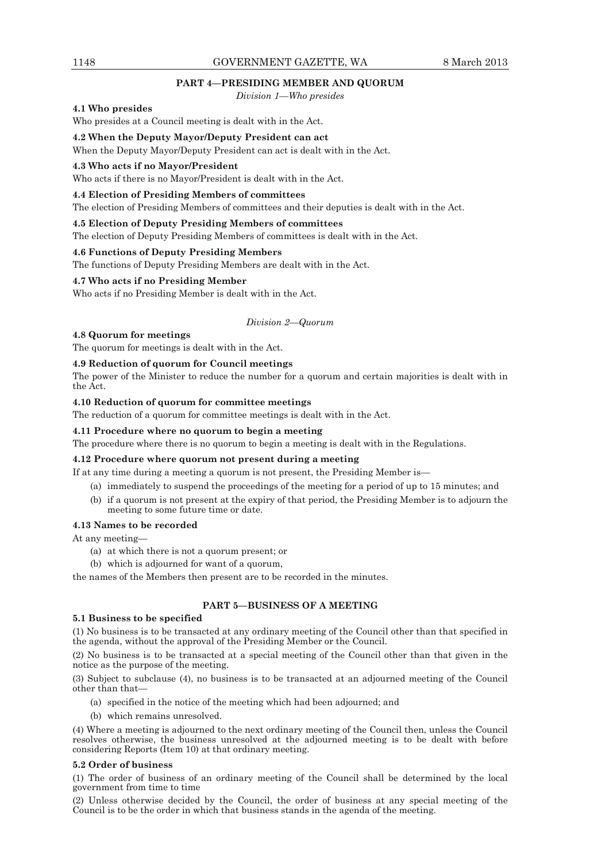## **PART 4—PRESIDING MEMBER AND QUORUM**

*Division 1—Who presides* 

# **4.1 Who presides**

Who presides at a Council meeting is dealt with in the Act.

# **4.2 When the Deputy Mayor/Deputy President can act**

When the Deputy Mayor/Deputy President can act is dealt with in the Act.

#### **4.3 Who acts if no Mayor/President**

Who acts if there is no Mayor/President is dealt with in the Act.

#### **4.4 Election of Presiding Members of committees**

The election of Presiding Members of committees and their deputies is dealt with in the Act.

#### **4.5 Election of Deputy Presiding Members of committees**

The election of Deputy Presiding Members of committees is dealt with in the Act.

### **4.6 Functions of Deputy Presiding Members**

The functions of Deputy Presiding Members are dealt with in the Act.

#### **4.7 Who acts if no Presiding Member**

Who acts if no Presiding Member is dealt with in the Act.

# *Division 2—Quorum*

#### **4.8 Quorum for meetings**

The quorum for meetings is dealt with in the Act.

# **4.9 Reduction of quorum for Council meetings**

The power of the Minister to reduce the number for a quorum and certain majorities is dealt with in the Act.

## **4.10 Reduction of quorum for committee meetings**

The reduction of a quorum for committee meetings is dealt with in the Act.

## **4.11 Procedure where no quorum to begin a meeting**

The procedure where there is no quorum to begin a meeting is dealt with in the Regulations.

### **4.12 Procedure where quorum not present during a meeting**

If at any time during a meeting a quorum is not present, the Presiding Member is—

- (a) immediately to suspend the proceedings of the meeting for a period of up to 15 minutes; and
- (b) if a quorum is not present at the expiry of that period, the Presiding Member is to adjourn the meeting to some future time or date.

#### **4.13 Names to be recorded**

At any meeting—

- (a) at which there is not a quorum present; or
- (b) which is adjourned for want of a quorum,

the names of the Members then present are to be recorded in the minutes.

## **PART 5—BUSINESS OF A MEETING**

# **5.1 Business to be specified**

(1) No business is to be transacted at any ordinary meeting of the Council other than that specified in the agenda, without the approval of the Presiding Member or the Council.

(2) No business is to be transacted at a special meeting of the Council other than that given in the notice as the purpose of the meeting.

(3) Subject to subclause (4), no business is to be transacted at an adjourned meeting of the Council other than that—

- (a) specified in the notice of the meeting which had been adjourned; and
- (b) which remains unresolved.

(4) Where a meeting is adjourned to the next ordinary meeting of the Council then, unless the Council resolves otherwise, the business unresolved at the adjourned meeting is to be dealt with before considering Reports (Item 10) at that ordinary meeting.

#### **5.2 Order of business**

(1) The order of business of an ordinary meeting of the Council shall be determined by the local government from time to time

(2) Unless otherwise decided by the Council, the order of business at any special meeting of the Council is to be the order in which that business stands in the agenda of the meeting.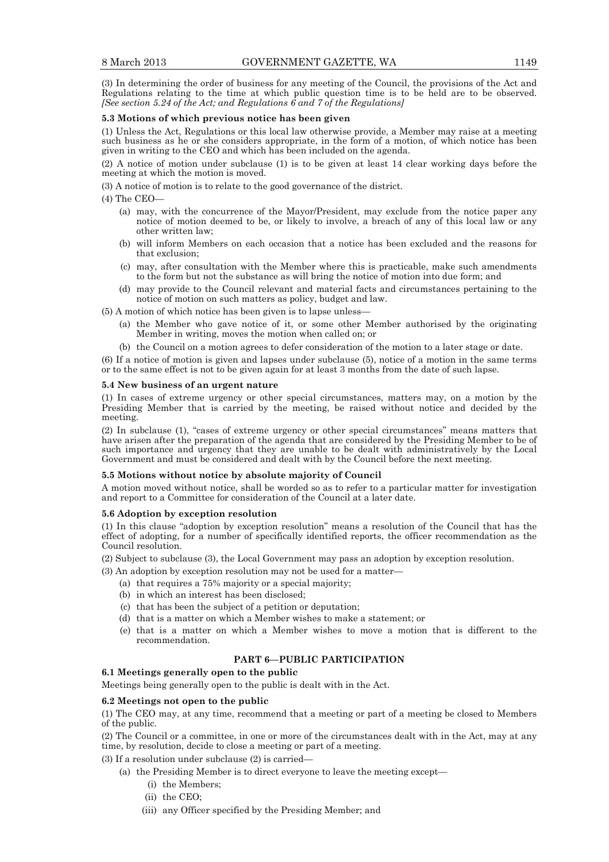(3) In determining the order of business for any meeting of the Council, the provisions of the Act and Regulations relating to the time at which public question time is to be held are to be observed. *[See section 5.24 of the Act; and Regulations 6 and 7 of the Regulations]*

## **5.3 Motions of which previous notice has been given**

(1) Unless the Act, Regulations or this local law otherwise provide, a Member may raise at a meeting such business as he or she considers appropriate, in the form of a motion, of which notice has been given in writing to the CEO and which has been included on the agenda.

(2) A notice of motion under subclause (1) is to be given at least 14 clear working days before the meeting at which the motion is moved.

(3) A notice of motion is to relate to the good governance of the district.

(4) The CEO—

- (a) may, with the concurrence of the Mayor/President, may exclude from the notice paper any notice of motion deemed to be, or likely to involve, a breach of any of this local law or any other written law;
- (b) will inform Members on each occasion that a notice has been excluded and the reasons for that exclusion;
- (c) may, after consultation with the Member where this is practicable, make such amendments to the form but not the substance as will bring the notice of motion into due form; and
- (d) may provide to the Council relevant and material facts and circumstances pertaining to the notice of motion on such matters as policy, budget and law.

(5) A motion of which notice has been given is to lapse unless—

- (a) the Member who gave notice of it, or some other Member authorised by the originating Member in writing, moves the motion when called on; or
- (b) the Council on a motion agrees to defer consideration of the motion to a later stage or date.

(6) If a notice of motion is given and lapses under subclause (5), notice of a motion in the same terms or to the same effect is not to be given again for at least 3 months from the date of such lapse.

#### **5.4 New business of an urgent nature**

(1) In cases of extreme urgency or other special circumstances, matters may, on a motion by the Presiding Member that is carried by the meeting, be raised without notice and decided by the meeting.

(2) In subclause (1), "cases of extreme urgency or other special circumstances" means matters that have arisen after the preparation of the agenda that are considered by the Presiding Member to be of such importance and urgency that they are unable to be dealt with administratively by the Local Government and must be considered and dealt with by the Council before the next meeting.

## **5.5 Motions without notice by absolute majority of Council**

A motion moved without notice, shall be worded so as to refer to a particular matter for investigation and report to a Committee for consideration of the Council at a later date.

#### **5.6 Adoption by exception resolution**

(1) In this clause "adoption by exception resolution" means a resolution of the Council that has the effect of adopting, for a number of specifically identified reports, the officer recommendation as the Council resolution.

(2) Subject to subclause (3), the Local Government may pass an adoption by exception resolution.

- (3) An adoption by exception resolution may not be used for a matter—
	- (a) that requires a 75% majority or a special majority;
	- (b) in which an interest has been disclosed;
	- (c) that has been the subject of a petition or deputation;
	- (d) that is a matter on which a Member wishes to make a statement; or
	- (e) that is a matter on which a Member wishes to move a motion that is different to the recommendation.

# **PART 6—PUBLIC PARTICIPATION**

### **6.1 Meetings generally open to the public**

Meetings being generally open to the public is dealt with in the Act.

## **6.2 Meetings not open to the public**

(1) The CEO may, at any time, recommend that a meeting or part of a meeting be closed to Members of the public.

(2) The Council or a committee, in one or more of the circumstances dealt with in the Act, may at any time, by resolution, decide to close a meeting or part of a meeting.

(3) If a resolution under subclause (2) is carried—

- (a) the Presiding Member is to direct everyone to leave the meeting except—
	- (i) the Members;
	- (ii) the CEO;
	- (iii) any Officer specified by the Presiding Member; and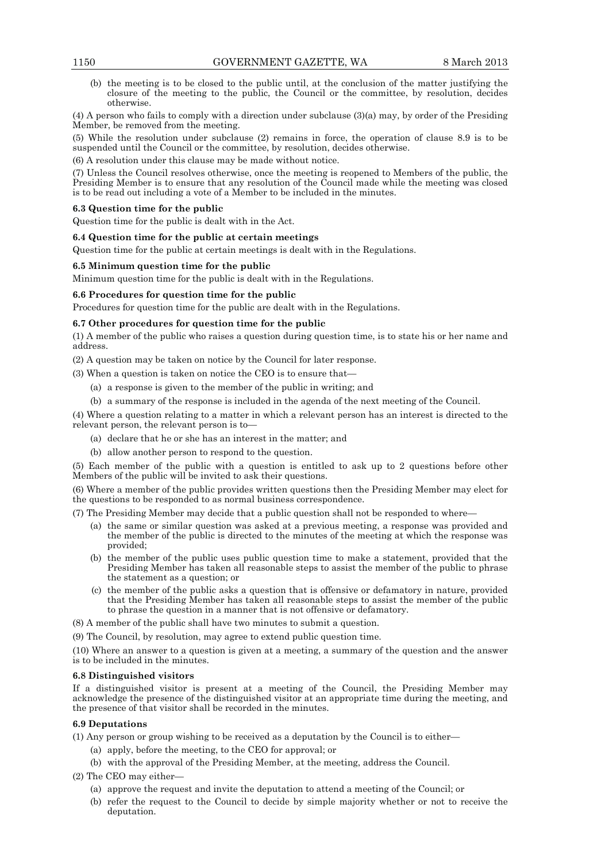(b) the meeting is to be closed to the public until, at the conclusion of the matter justifying the closure of the meeting to the public, the Council or the committee, by resolution, decides otherwise.

(4) A person who fails to comply with a direction under subclause (3)(a) may, by order of the Presiding Member, be removed from the meeting.

(5) While the resolution under subclause (2) remains in force, the operation of clause 8.9 is to be suspended until the Council or the committee, by resolution, decides otherwise.

(6) A resolution under this clause may be made without notice.

(7) Unless the Council resolves otherwise, once the meeting is reopened to Members of the public, the Presiding Member is to ensure that any resolution of the Council made while the meeting was closed is to be read out including a vote of a Member to be included in the minutes.

# **6.3 Question time for the public**

Question time for the public is dealt with in the Act.

## **6.4 Question time for the public at certain meetings**

Question time for the public at certain meetings is dealt with in the Regulations.

## **6.5 Minimum question time for the public**

Minimum question time for the public is dealt with in the Regulations.

## **6.6 Procedures for question time for the public**

Procedures for question time for the public are dealt with in the Regulations.

## **6.7 Other procedures for question time for the public**

(1) A member of the public who raises a question during question time, is to state his or her name and address.

(2) A question may be taken on notice by the Council for later response.

(3) When a question is taken on notice the CEO is to ensure that—

- (a) a response is given to the member of the public in writing; and
- (b) a summary of the response is included in the agenda of the next meeting of the Council.

(4) Where a question relating to a matter in which a relevant person has an interest is directed to the relevant person, the relevant person is to—

- (a) declare that he or she has an interest in the matter; and
- (b) allow another person to respond to the question.

(5) Each member of the public with a question is entitled to ask up to 2 questions before other Members of the public will be invited to ask their questions.

(6) Where a member of the public provides written questions then the Presiding Member may elect for the questions to be responded to as normal business correspondence.

(7) The Presiding Member may decide that a public question shall not be responded to where—

- (a) the same or similar question was asked at a previous meeting, a response was provided and the member of the public is directed to the minutes of the meeting at which the response was provided;
- (b) the member of the public uses public question time to make a statement, provided that the Presiding Member has taken all reasonable steps to assist the member of the public to phrase the statement as a question; or
- (c) the member of the public asks a question that is offensive or defamatory in nature, provided that the Presiding Member has taken all reasonable steps to assist the member of the public to phrase the question in a manner that is not offensive or defamatory.
- (8) A member of the public shall have two minutes to submit a question.

(9) The Council, by resolution, may agree to extend public question time.

(10) Where an answer to a question is given at a meeting, a summary of the question and the answer is to be included in the minutes.

# **6.8 Distinguished visitors**

If a distinguished visitor is present at a meeting of the Council, the Presiding Member may acknowledge the presence of the distinguished visitor at an appropriate time during the meeting, and the presence of that visitor shall be recorded in the minutes.

# **6.9 Deputations**

(1) Any person or group wishing to be received as a deputation by the Council is to either—

- (a) apply, before the meeting, to the CEO for approval; or
- (b) with the approval of the Presiding Member, at the meeting, address the Council.

(2) The CEO may either—

- (a) approve the request and invite the deputation to attend a meeting of the Council; or
- (b) refer the request to the Council to decide by simple majority whether or not to receive the deputation.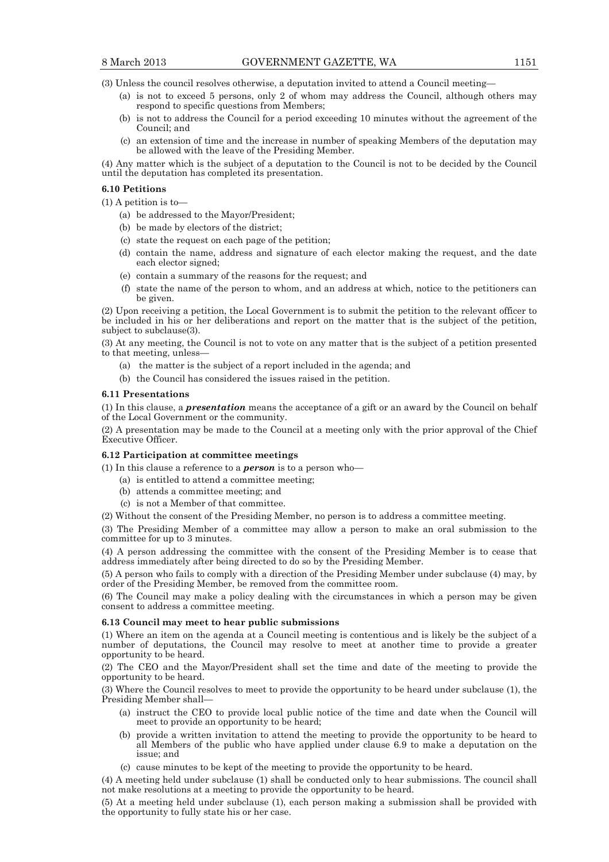(3) Unless the council resolves otherwise, a deputation invited to attend a Council meeting—

- (a) is not to exceed 5 persons, only 2 of whom may address the Council, although others may respond to specific questions from Members;
- (b) is not to address the Council for a period exceeding 10 minutes without the agreement of the Council; and
- (c) an extension of time and the increase in number of speaking Members of the deputation may be allowed with the leave of the Presiding Member.

(4) Any matter which is the subject of a deputation to the Council is not to be decided by the Council until the deputation has completed its presentation.

### **6.10 Petitions**

(1) A petition is to—

- (a) be addressed to the Mayor/President;
- (b) be made by electors of the district;
- (c) state the request on each page of the petition;
- (d) contain the name, address and signature of each elector making the request, and the date each elector signed;
- (e) contain a summary of the reasons for the request; and
- (f) state the name of the person to whom, and an address at which, notice to the petitioners can be given.

(2) Upon receiving a petition, the Local Government is to submit the petition to the relevant officer to be included in his or her deliberations and report on the matter that is the subject of the petition, subject to subclause(3).

(3) At any meeting, the Council is not to vote on any matter that is the subject of a petition presented to that meeting, unless-

- (a) the matter is the subject of a report included in the agenda; and
- (b) the Council has considered the issues raised in the petition.

#### **6.11 Presentations**

(1) In this clause, a *presentation* means the acceptance of a gift or an award by the Council on behalf of the Local Government or the community.

(2) A presentation may be made to the Council at a meeting only with the prior approval of the Chief Executive Officer.

### **6.12 Participation at committee meetings**

(1) In this clause a reference to a *person* is to a person who—

- (a) is entitled to attend a committee meeting;
- (b) attends a committee meeting; and
- (c) is not a Member of that committee.

(2) Without the consent of the Presiding Member, no person is to address a committee meeting.

(3) The Presiding Member of a committee may allow a person to make an oral submission to the committee for up to 3 minutes.

(4) A person addressing the committee with the consent of the Presiding Member is to cease that address immediately after being directed to do so by the Presiding Member.

(5) A person who fails to comply with a direction of the Presiding Member under subclause (4) may, by order of the Presiding Member, be removed from the committee room.

(6) The Council may make a policy dealing with the circumstances in which a person may be given consent to address a committee meeting.

#### **6.13 Council may meet to hear public submissions**

(1) Where an item on the agenda at a Council meeting is contentious and is likely be the subject of a number of deputations, the Council may resolve to meet at another time to provide a greater opportunity to be heard.

(2) The CEO and the Mayor/President shall set the time and date of the meeting to provide the opportunity to be heard.

(3) Where the Council resolves to meet to provide the opportunity to be heard under subclause (1), the Presiding Member shall—

- (a) instruct the CEO to provide local public notice of the time and date when the Council will meet to provide an opportunity to be heard;
- (b) provide a written invitation to attend the meeting to provide the opportunity to be heard to all Members of the public who have applied under clause 6.9 to make a deputation on the issue; and
- (c) cause minutes to be kept of the meeting to provide the opportunity to be heard.

(4) A meeting held under subclause (1) shall be conducted only to hear submissions. The council shall not make resolutions at a meeting to provide the opportunity to be heard.

(5) At a meeting held under subclause (1), each person making a submission shall be provided with the opportunity to fully state his or her case.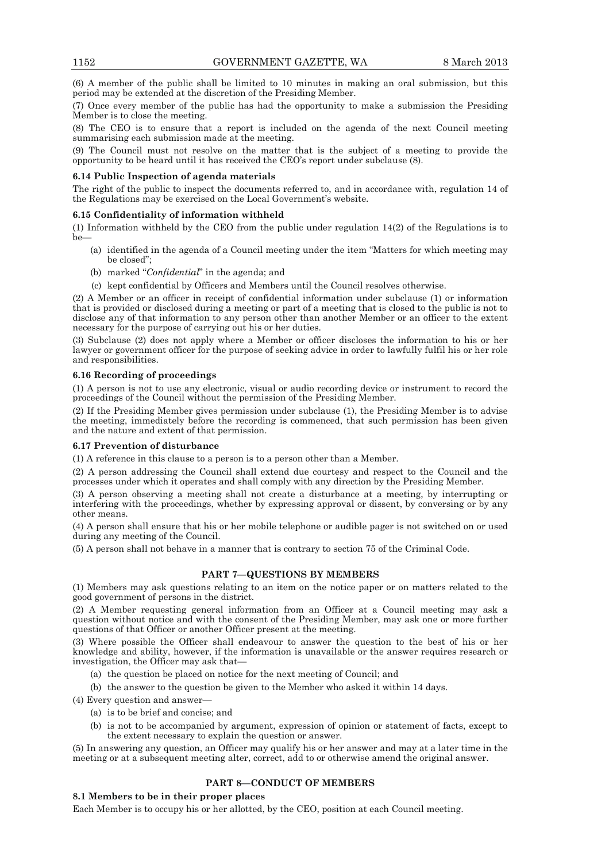(6) A member of the public shall be limited to 10 minutes in making an oral submission, but this period may be extended at the discretion of the Presiding Member.

(7) Once every member of the public has had the opportunity to make a submission the Presiding Member is to close the meeting.

(8) The CEO is to ensure that a report is included on the agenda of the next Council meeting summarising each submission made at the meeting.

(9) The Council must not resolve on the matter that is the subject of a meeting to provide the opportunity to be heard until it has received the CEO's report under subclause (8).

#### **6.14 Public Inspection of agenda materials**

The right of the public to inspect the documents referred to, and in accordance with, regulation 14 of the Regulations may be exercised on the Local Government's website.

#### **6.15 Confidentiality of information withheld**

(1) Information withheld by the CEO from the public under regulation 14(2) of the Regulations is to be—

- (a) identified in the agenda of a Council meeting under the item "Matters for which meeting may be closed";
- (b) marked "*Confidential*" in the agenda; and
- (c) kept confidential by Officers and Members until the Council resolves otherwise.

(2) A Member or an officer in receipt of confidential information under subclause (1) or information that is provided or disclosed during a meeting or part of a meeting that is closed to the public is not to disclose any of that information to any person other than another Member or an officer to the extent necessary for the purpose of carrying out his or her duties.

(3) Subclause (2) does not apply where a Member or officer discloses the information to his or her lawyer or government officer for the purpose of seeking advice in order to lawfully fulfil his or her role and responsibilities.

#### **6.16 Recording of proceedings**

(1) A person is not to use any electronic, visual or audio recording device or instrument to record the proceedings of the Council without the permission of the Presiding Member.

(2) If the Presiding Member gives permission under subclause (1), the Presiding Member is to advise the meeting, immediately before the recording is commenced, that such permission has been given and the nature and extent of that permission.

### **6.17 Prevention of disturbance**

(1) A reference in this clause to a person is to a person other than a Member.

(2) A person addressing the Council shall extend due courtesy and respect to the Council and the processes under which it operates and shall comply with any direction by the Presiding Member.

(3) A person observing a meeting shall not create a disturbance at a meeting, by interrupting or interfering with the proceedings, whether by expressing approval or dissent, by conversing or by any other means.

(4) A person shall ensure that his or her mobile telephone or audible pager is not switched on or used during any meeting of the Council.

(5) A person shall not behave in a manner that is contrary to section 75 of the Criminal Code.

## **PART 7—QUESTIONS BY MEMBERS**

(1) Members may ask questions relating to an item on the notice paper or on matters related to the good government of persons in the district.

(2) A Member requesting general information from an Officer at a Council meeting may ask a question without notice and with the consent of the Presiding Member, may ask one or more further questions of that Officer or another Officer present at the meeting.

(3) Where possible the Officer shall endeavour to answer the question to the best of his or her knowledge and ability, however, if the information is unavailable or the answer requires research or investigation, the Officer may ask that—

- (a) the question be placed on notice for the next meeting of Council; and
- (b) the answer to the question be given to the Member who asked it within 14 days.

(4) Every question and answer—

- (a) is to be brief and concise; and
- (b) is not to be accompanied by argument, expression of opinion or statement of facts, except to the extent necessary to explain the question or answer.

(5) In answering any question, an Officer may qualify his or her answer and may at a later time in the meeting or at a subsequent meeting alter, correct, add to or otherwise amend the original answer.

# **PART 8—CONDUCT OF MEMBERS**

#### **8.1 Members to be in their proper places**

Each Member is to occupy his or her allotted, by the CEO, position at each Council meeting.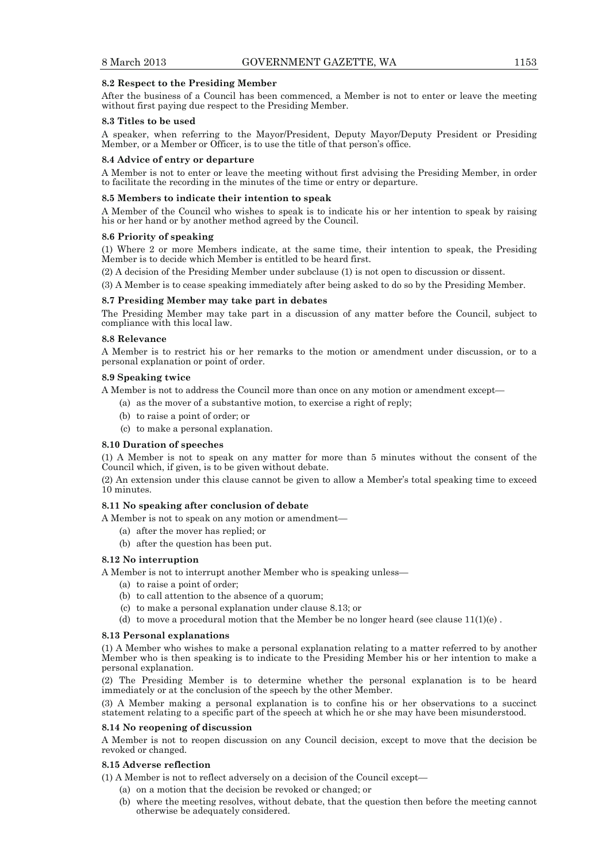#### **8.2 Respect to the Presiding Member**

After the business of a Council has been commenced, a Member is not to enter or leave the meeting without first paying due respect to the Presiding Member.

#### **8.3 Titles to be used**

A speaker, when referring to the Mayor/President, Deputy Mayor/Deputy President or Presiding Member, or a Member or Officer, is to use the title of that person's office.

#### **8.4 Advice of entry or departure**

A Member is not to enter or leave the meeting without first advising the Presiding Member, in order to facilitate the recording in the minutes of the time or entry or departure.

#### **8.5 Members to indicate their intention to speak**

A Member of the Council who wishes to speak is to indicate his or her intention to speak by raising his or her hand or by another method agreed by the Council.

#### **8.6 Priority of speaking**

(1) Where 2 or more Members indicate, at the same time, their intention to speak, the Presiding Member is to decide which Member is entitled to be heard first.

(2) A decision of the Presiding Member under subclause (1) is not open to discussion or dissent.

(3) A Member is to cease speaking immediately after being asked to do so by the Presiding Member.

### **8.7 Presiding Member may take part in debates**

The Presiding Member may take part in a discussion of any matter before the Council, subject to compliance with this local law.

#### **8.8 Relevance**

A Member is to restrict his or her remarks to the motion or amendment under discussion, or to a personal explanation or point of order.

#### **8.9 Speaking twice**

A Member is not to address the Council more than once on any motion or amendment except—

- (a) as the mover of a substantive motion, to exercise a right of reply;
- (b) to raise a point of order; or
- (c) to make a personal explanation.

#### **8.10 Duration of speeches**

(1) A Member is not to speak on any matter for more than 5 minutes without the consent of the Council which, if given, is to be given without debate.

(2) An extension under this clause cannot be given to allow a Member's total speaking time to exceed 10 minutes.

#### **8.11 No speaking after conclusion of debate**

- A Member is not to speak on any motion or amendment—
	- (a) after the mover has replied; or
	- (b) after the question has been put.

#### **8.12 No interruption**

A Member is not to interrupt another Member who is speaking unless—

- (a) to raise a point of order;
- (b) to call attention to the absence of a quorum;
- (c) to make a personal explanation under clause 8.13; or
- (d) to move a procedural motion that the Member be no longer heard (see clause  $11(1)(e)$ .

#### **8.13 Personal explanations**

(1) A Member who wishes to make a personal explanation relating to a matter referred to by another Member who is then speaking is to indicate to the Presiding Member his or her intention to make a personal explanation.

(2) The Presiding Member is to determine whether the personal explanation is to be heard immediately or at the conclusion of the speech by the other Member.

(3) A Member making a personal explanation is to confine his or her observations to a succinct statement relating to a specific part of the speech at which he or she may have been misunderstood.

#### **8.14 No reopening of discussion**

A Member is not to reopen discussion on any Council decision, except to move that the decision be revoked or changed.

## **8.15 Adverse reflection**

(1) A Member is not to reflect adversely on a decision of the Council except—

- (a) on a motion that the decision be revoked or changed; or
- (b) where the meeting resolves, without debate, that the question then before the meeting cannot otherwise be adequately considered.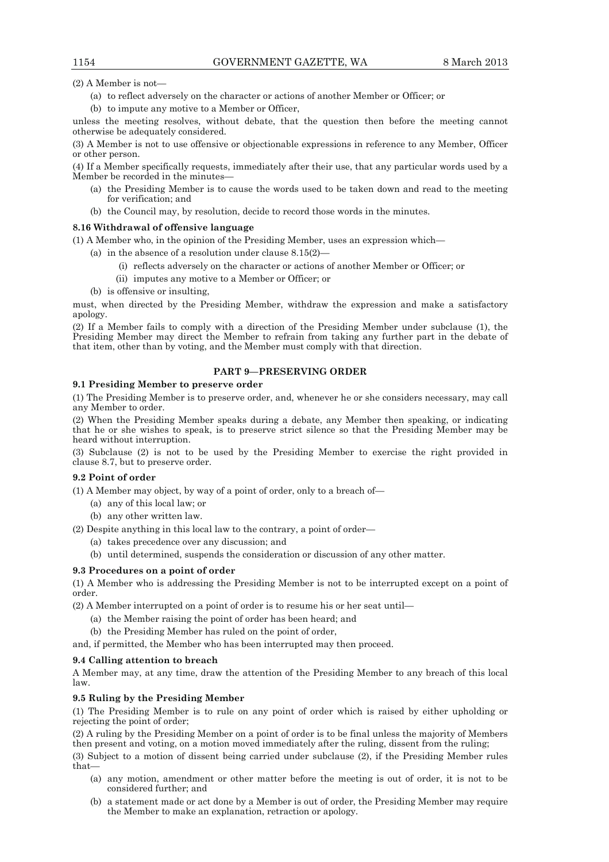(2) A Member is not—

- (a) to reflect adversely on the character or actions of another Member or Officer; or
- (b) to impute any motive to a Member or Officer,

unless the meeting resolves, without debate, that the question then before the meeting cannot otherwise be adequately considered.

(3) A Member is not to use offensive or objectionable expressions in reference to any Member, Officer or other person.

(4) If a Member specifically requests, immediately after their use, that any particular words used by a Member be recorded in the minutes—

- (a) the Presiding Member is to cause the words used to be taken down and read to the meeting for verification; and
- (b) the Council may, by resolution, decide to record those words in the minutes.

## **8.16 Withdrawal of offensive language**

(1) A Member who, in the opinion of the Presiding Member, uses an expression which—

- (a) in the absence of a resolution under clause 8.15(2)—
	- (i) reflects adversely on the character or actions of another Member or Officer; or
	- (ii) imputes any motive to a Member or Officer; or
- (b) is offensive or insulting,

must, when directed by the Presiding Member, withdraw the expression and make a satisfactory apology.

(2) If a Member fails to comply with a direction of the Presiding Member under subclause (1), the Presiding Member may direct the Member to refrain from taking any further part in the debate of that item, other than by voting, and the Member must comply with that direction.

# **PART 9—PRESERVING ORDER**

## **9.1 Presiding Member to preserve order**

(1) The Presiding Member is to preserve order, and, whenever he or she considers necessary, may call any Member to order.

(2) When the Presiding Member speaks during a debate, any Member then speaking, or indicating that he or she wishes to speak, is to preserve strict silence so that the Presiding Member may be heard without interruption.

(3) Subclause (2) is not to be used by the Presiding Member to exercise the right provided in clause 8.7, but to preserve order.

#### **9.2 Point of order**

(1) A Member may object, by way of a point of order, only to a breach of—

- (a) any of this local law; or
- (b) any other written law.

(2) Despite anything in this local law to the contrary, a point of order—

(a) takes precedence over any discussion; and

(b) until determined, suspends the consideration or discussion of any other matter.

#### **9.3 Procedures on a point of order**

(1) A Member who is addressing the Presiding Member is not to be interrupted except on a point of order.

(2) A Member interrupted on a point of order is to resume his or her seat until—

- (a) the Member raising the point of order has been heard; and
- (b) the Presiding Member has ruled on the point of order,

and, if permitted, the Member who has been interrupted may then proceed.

# **9.4 Calling attention to breach**

A Member may, at any time, draw the attention of the Presiding Member to any breach of this local law.

# **9.5 Ruling by the Presiding Member**

(1) The Presiding Member is to rule on any point of order which is raised by either upholding or rejecting the point of order;

(2) A ruling by the Presiding Member on a point of order is to be final unless the majority of Members then present and voting, on a motion moved immediately after the ruling, dissent from the ruling;

(3) Subject to a motion of dissent being carried under subclause (2), if the Presiding Member rules that—

- (a) any motion, amendment or other matter before the meeting is out of order, it is not to be considered further; and
- (b) a statement made or act done by a Member is out of order, the Presiding Member may require the Member to make an explanation, retraction or apology.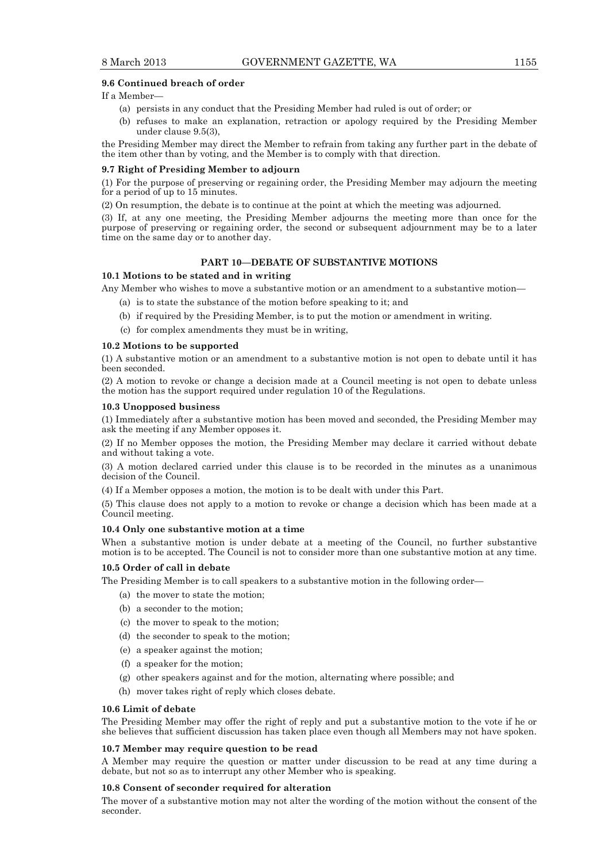## **9.6 Continued breach of order**

## If a Member—

- (a) persists in any conduct that the Presiding Member had ruled is out of order; or
- (b) refuses to make an explanation, retraction or apology required by the Presiding Member under clause 9.5(3),

the Presiding Member may direct the Member to refrain from taking any further part in the debate of the item other than by voting, and the Member is to comply with that direction.

#### **9.7 Right of Presiding Member to adjourn**

(1) For the purpose of preserving or regaining order, the Presiding Member may adjourn the meeting for a period of up to 15 minutes.

(2) On resumption, the debate is to continue at the point at which the meeting was adjourned.

(3) If, at any one meeting, the Presiding Member adjourns the meeting more than once for the purpose of preserving or regaining order, the second or subsequent adjournment may be to a later time on the same day or to another day.

# **PART 10—DEBATE OF SUBSTANTIVE MOTIONS**

### **10.1 Motions to be stated and in writing**

Any Member who wishes to move a substantive motion or an amendment to a substantive motion—

- (a) is to state the substance of the motion before speaking to it; and
- (b) if required by the Presiding Member, is to put the motion or amendment in writing.
- (c) for complex amendments they must be in writing,

#### **10.2 Motions to be supported**

(1) A substantive motion or an amendment to a substantive motion is not open to debate until it has been seconded.

(2) A motion to revoke or change a decision made at a Council meeting is not open to debate unless the motion has the support required under regulation 10 of the Regulations.

#### **10.3 Unopposed business**

(1) Immediately after a substantive motion has been moved and seconded, the Presiding Member may ask the meeting if any Member opposes it.

(2) If no Member opposes the motion, the Presiding Member may declare it carried without debate and without taking a vote.

(3) A motion declared carried under this clause is to be recorded in the minutes as a unanimous decision of the Council.

(4) If a Member opposes a motion, the motion is to be dealt with under this Part.

(5) This clause does not apply to a motion to revoke or change a decision which has been made at a Council meeting.

#### **10.4 Only one substantive motion at a time**

When a substantive motion is under debate at a meeting of the Council, no further substantive motion is to be accepted. The Council is not to consider more than one substantive motion at any time.

#### **10.5 Order of call in debate**

The Presiding Member is to call speakers to a substantive motion in the following order—

- (a) the mover to state the motion;
- (b) a seconder to the motion;
- (c) the mover to speak to the motion;
- (d) the seconder to speak to the motion;
- (e) a speaker against the motion;
- (f) a speaker for the motion;
- (g) other speakers against and for the motion, alternating where possible; and
- (h) mover takes right of reply which closes debate.

#### **10.6 Limit of debate**

The Presiding Member may offer the right of reply and put a substantive motion to the vote if he or she believes that sufficient discussion has taken place even though all Members may not have spoken.

#### **10.7 Member may require question to be read**

A Member may require the question or matter under discussion to be read at any time during a debate, but not so as to interrupt any other Member who is speaking.

#### **10.8 Consent of seconder required for alteration**

The mover of a substantive motion may not alter the wording of the motion without the consent of the seconder.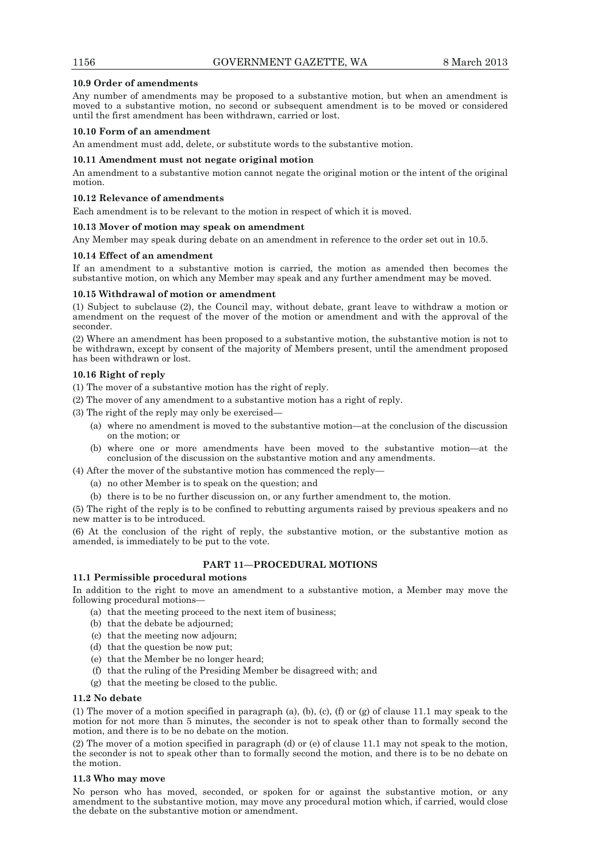## **10.9 Order of amendments**

Any number of amendments may be proposed to a substantive motion, but when an amendment is moved to a substantive motion, no second or subsequent amendment is to be moved or considered until the first amendment has been withdrawn, carried or lost.

## **10.10 Form of an amendment**

An amendment must add, delete, or substitute words to the substantive motion.

### **10.11 Amendment must not negate original motion**

An amendment to a substantive motion cannot negate the original motion or the intent of the original motion.

### **10.12 Relevance of amendments**

Each amendment is to be relevant to the motion in respect of which it is moved.

#### **10.13 Mover of motion may speak on amendment**

Any Member may speak during debate on an amendment in reference to the order set out in 10.5.

#### **10.14 Effect of an amendment**

If an amendment to a substantive motion is carried, the motion as amended then becomes the substantive motion, on which any Member may speak and any further amendment may be moved.

## **10.15 Withdrawal of motion or amendment**

(1) Subject to subclause (2), the Council may, without debate, grant leave to withdraw a motion or amendment on the request of the mover of the motion or amendment and with the approval of the seconder.

(2) Where an amendment has been proposed to a substantive motion, the substantive motion is not to be withdrawn, except by consent of the majority of Members present, until the amendment proposed has been withdrawn or lost.

## **10.16 Right of reply**

(1) The mover of a substantive motion has the right of reply.

- (2) The mover of any amendment to a substantive motion has a right of reply.
- (3) The right of the reply may only be exercised—
	- (a) where no amendment is moved to the substantive motion—at the conclusion of the discussion on the motion; or
	- (b) where one or more amendments have been moved to the substantive motion—at the conclusion of the discussion on the substantive motion and any amendments.

(4) After the mover of the substantive motion has commenced the reply—

- (a) no other Member is to speak on the question; and
- (b) there is to be no further discussion on, or any further amendment to, the motion.

(5) The right of the reply is to be confined to rebutting arguments raised by previous speakers and no new matter is to be introduced.

(6) At the conclusion of the right of reply, the substantive motion, or the substantive motion as amended, is immediately to be put to the vote.

### **PART 11—PROCEDURAL MOTIONS**

# **11.1 Permissible procedural motions**

In addition to the right to move an amendment to a substantive motion, a Member may move the following procedural motions—

- (a) that the meeting proceed to the next item of business;
- (b) that the debate be adjourned;
- (c) that the meeting now adjourn;
- (d) that the question be now put;
- (e) that the Member be no longer heard;
- (f) that the ruling of the Presiding Member be disagreed with; and
- (g) that the meeting be closed to the public.

## **11.2 No debate**

(1) The mover of a motion specified in paragraph (a), (b), (c), (f) or (g) of clause 11.1 may speak to the motion for not more than 5 minutes, the seconder is not to speak other than to formally second the motion, and there is to be no debate on the motion.

(2) The mover of a motion specified in paragraph (d) or (e) of clause 11.1 may not speak to the motion, the seconder is not to speak other than to formally second the motion, and there is to be no debate on the motion.

## **11.3 Who may move**

No person who has moved, seconded, or spoken for or against the substantive motion, or any amendment to the substantive motion, may move any procedural motion which, if carried, would close the debate on the substantive motion or amendment.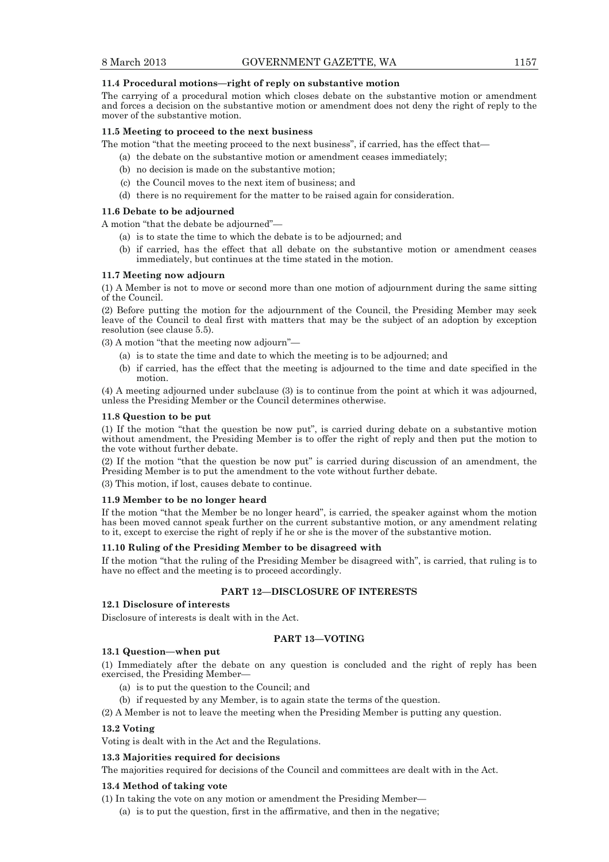## **11.4 Procedural motions—right of reply on substantive motion**

The carrying of a procedural motion which closes debate on the substantive motion or amendment and forces a decision on the substantive motion or amendment does not deny the right of reply to the mover of the substantive motion.

### **11.5 Meeting to proceed to the next business**

The motion "that the meeting proceed to the next business", if carried, has the effect that—

- (a) the debate on the substantive motion or amendment ceases immediately;
- (b) no decision is made on the substantive motion;
- (c) the Council moves to the next item of business; and
- (d) there is no requirement for the matter to be raised again for consideration.

#### **11.6 Debate to be adjourned**

A motion "that the debate be adjourned"—

- (a) is to state the time to which the debate is to be adjourned; and
- (b) if carried, has the effect that all debate on the substantive motion or amendment ceases immediately, but continues at the time stated in the motion.

#### **11.7 Meeting now adjourn**

(1) A Member is not to move or second more than one motion of adjournment during the same sitting of the Council.

(2) Before putting the motion for the adjournment of the Council, the Presiding Member may seek leave of the Council to deal first with matters that may be the subject of an adoption by exception resolution (see clause 5.5).

(3) A motion "that the meeting now adjourn"—

- (a) is to state the time and date to which the meeting is to be adjourned; and
- (b) if carried, has the effect that the meeting is adjourned to the time and date specified in the motion.

(4) A meeting adjourned under subclause (3) is to continue from the point at which it was adjourned, unless the Presiding Member or the Council determines otherwise.

#### **11.8 Question to be put**

(1) If the motion "that the question be now put", is carried during debate on a substantive motion without amendment, the Presiding Member is to offer the right of reply and then put the motion to the vote without further debate.

(2) If the motion "that the question be now put" is carried during discussion of an amendment, the Presiding Member is to put the amendment to the vote without further debate.

(3) This motion, if lost, causes debate to continue.

#### **11.9 Member to be no longer heard**

If the motion "that the Member be no longer heard", is carried, the speaker against whom the motion has been moved cannot speak further on the current substantive motion, or any amendment relating to it, except to exercise the right of reply if he or she is the mover of the substantive motion.

#### **11.10 Ruling of the Presiding Member to be disagreed with**

If the motion "that the ruling of the Presiding Member be disagreed with", is carried, that ruling is to have no effect and the meeting is to proceed accordingly.

## **PART 12—DISCLOSURE OF INTERESTS**

#### **12.1 Disclosure of interests**

Disclosure of interests is dealt with in the Act.

## **PART 13—VOTING**

## **13.1 Question—when put**

(1) Immediately after the debate on any question is concluded and the right of reply has been exercised, the Presiding Member—

- (a) is to put the question to the Council; and
- (b) if requested by any Member, is to again state the terms of the question.

(2) A Member is not to leave the meeting when the Presiding Member is putting any question.

#### **13.2 Voting**

Voting is dealt with in the Act and the Regulations.

#### **13.3 Majorities required for decisions**

The majorities required for decisions of the Council and committees are dealt with in the Act.

#### **13.4 Method of taking vote**

- (1) In taking the vote on any motion or amendment the Presiding Member—
	- (a) is to put the question, first in the affirmative, and then in the negative;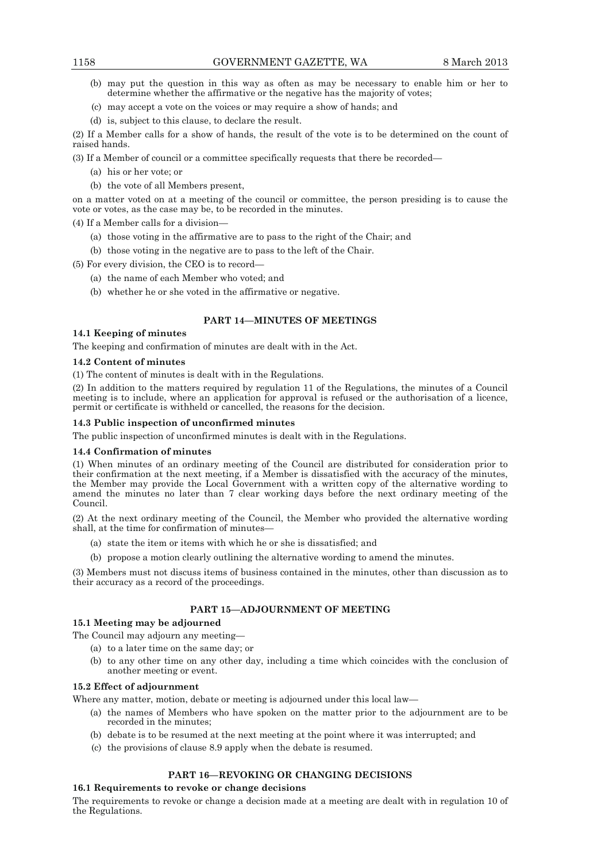- (b) may put the question in this way as often as may be necessary to enable him or her to determine whether the affirmative or the negative has the majority of votes;
- (c) may accept a vote on the voices or may require a show of hands; and
- (d) is, subject to this clause, to declare the result.

(2) If a Member calls for a show of hands, the result of the vote is to be determined on the count of raised hands.

(3) If a Member of council or a committee specifically requests that there be recorded—

- (a) his or her vote; or
- (b) the vote of all Members present,

on a matter voted on at a meeting of the council or committee, the person presiding is to cause the vote or votes, as the case may be, to be recorded in the minutes.

(4) If a Member calls for a division—

- (a) those voting in the affirmative are to pass to the right of the Chair; and
- (b) those voting in the negative are to pass to the left of the Chair.

(5) For every division, the CEO is to record—

- (a) the name of each Member who voted; and
- (b) whether he or she voted in the affirmative or negative.

# **PART 14—MINUTES OF MEETINGS**

## **14.1 Keeping of minutes**

The keeping and confirmation of minutes are dealt with in the Act.

# **14.2 Content of minutes**

(1) The content of minutes is dealt with in the Regulations.

(2) In addition to the matters required by regulation 11 of the Regulations, the minutes of a Council meeting is to include, where an application for approval is refused or the authorisation of a licence, permit or certificate is withheld or cancelled, the reasons for the decision.

# **14.3 Public inspection of unconfirmed minutes**

The public inspection of unconfirmed minutes is dealt with in the Regulations.

# **14.4 Confirmation of minutes**

(1) When minutes of an ordinary meeting of the Council are distributed for consideration prior to their confirmation at the next meeting, if a Member is dissatisfied with the accuracy of the minutes, the Member may provide the Local Government with a written copy of the alternative wording to amend the minutes no later than 7 clear working days before the next ordinary meeting of the Council.

(2) At the next ordinary meeting of the Council, the Member who provided the alternative wording shall, at the time for confirmation of minutes—

- (a) state the item or items with which he or she is dissatisfied; and
- (b) propose a motion clearly outlining the alternative wording to amend the minutes.

(3) Members must not discuss items of business contained in the minutes, other than discussion as to their accuracy as a record of the proceedings.

# **PART 15—ADJOURNMENT OF MEETING**

# **15.1 Meeting may be adjourned**

The Council may adjourn any meeting—

- (a) to a later time on the same day; or
- (b) to any other time on any other day, including a time which coincides with the conclusion of another meeting or event.

# **15.2 Effect of adjournment**

Where any matter, motion, debate or meeting is adjourned under this local law—

- (a) the names of Members who have spoken on the matter prior to the adjournment are to be recorded in the minutes;
- (b) debate is to be resumed at the next meeting at the point where it was interrupted; and
- (c) the provisions of clause 8.9 apply when the debate is resumed.

# **PART 16—REVOKING OR CHANGING DECISIONS**

# **16.1 Requirements to revoke or change decisions**

The requirements to revoke or change a decision made at a meeting are dealt with in regulation 10 of the Regulations.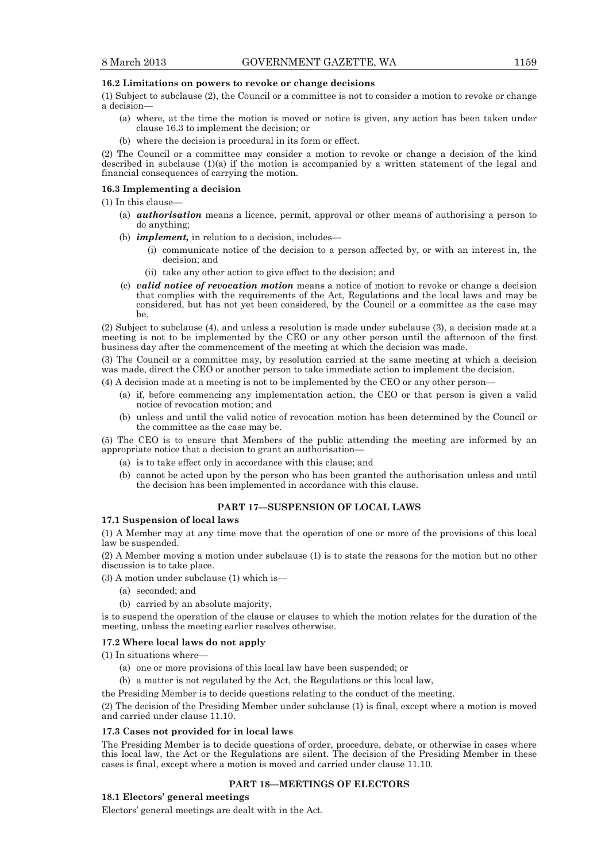# **16.2 Limitations on powers to revoke or change decisions**

(1) Subject to subclause (2), the Council or a committee is not to consider a motion to revoke or change a decision—

- (a) where, at the time the motion is moved or notice is given, any action has been taken under clause 16.3 to implement the decision; or
- (b) where the decision is procedural in its form or effect.

(2) The Council or a committee may consider a motion to revoke or change a decision of the kind described in subclause (1)(a) if the motion is accompanied by a written statement of the legal and financial consequences of carrying the motion.

#### **16.3 Implementing a decision**

(1) In this clause—

- (a) *authorisation* means a licence, permit, approval or other means of authorising a person to do anything;
- (b) *implement,* in relation to a decision, includes—
	- (i) communicate notice of the decision to a person affected by, or with an interest in, the decision; and
	- (ii) take any other action to give effect to the decision; and
- (c) *valid notice of revocation motion* means a notice of motion to revoke or change a decision that complies with the requirements of the Act, Regulations and the local laws and may be considered, but has not yet been considered, by the Council or a committee as the case may be.

(2) Subject to subclause (4), and unless a resolution is made under subclause (3), a decision made at a meeting is not to be implemented by the CEO or any other person until the afternoon of the first business day after the commencement of the meeting at which the decision was made.

(3) The Council or a committee may, by resolution carried at the same meeting at which a decision was made, direct the CEO or another person to take immediate action to implement the decision.

(4) A decision made at a meeting is not to be implemented by the CEO or any other person—

- (a) if, before commencing any implementation action, the CEO or that person is given a valid notice of revocation motion; and
- (b) unless and until the valid notice of revocation motion has been determined by the Council or the committee as the case may be.

(5) The CEO is to ensure that Members of the public attending the meeting are informed by an appropriate notice that a decision to grant an authorisation—

- (a) is to take effect only in accordance with this clause; and
- (b) cannot be acted upon by the person who has been granted the authorisation unless and until the decision has been implemented in accordance with this clause.

## **PART 17—SUSPENSION OF LOCAL LAWS**

# **17.1 Suspension of local laws**

(1) A Member may at any time move that the operation of one or more of the provisions of this local law be suspended.

(2) A Member moving a motion under subclause (1) is to state the reasons for the motion but no other discussion is to take place.

(3) A motion under subclause (1) which is—

- (a) seconded; and
- (b) carried by an absolute majority,

is to suspend the operation of the clause or clauses to which the motion relates for the duration of the meeting, unless the meeting earlier resolves otherwise.

#### **17.2 Where local laws do not apply**

(1) In situations where—

- (a) one or more provisions of this local law have been suspended; or
- (b) a matter is not regulated by the Act, the Regulations or this local law,

the Presiding Member is to decide questions relating to the conduct of the meeting.

(2) The decision of the Presiding Member under subclause (1) is final, except where a motion is moved and carried under clause 11.10.

#### **17.3 Cases not provided for in local laws**

The Presiding Member is to decide questions of order, procedure, debate, or otherwise in cases where this local law, the Act or the Regulations are silent. The decision of the Presiding Member in these cases is final, except where a motion is moved and carried under clause 11.10.

## **PART 18—MEETINGS OF ELECTORS**

#### **18.1 Electors' general meetings**

Electors' general meetings are dealt with in the Act.